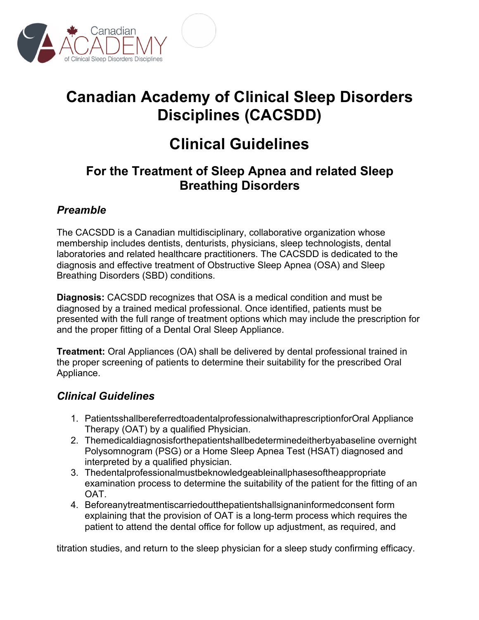

# **Canadian Academy of Clinical Sleep Disorders Disciplines (CACSDD)**

## **Clinical Guidelines**

### **For the Treatment of Sleep Apnea and related Sleep Breathing Disorders**

### *Preamble*

The CACSDD is a Canadian multidisciplinary, collaborative organization whose membership includes dentists, denturists, physicians, sleep technologists, dental laboratories and related healthcare practitioners. The CACSDD is dedicated to the diagnosis and effective treatment of Obstructive Sleep Apnea (OSA) and Sleep Breathing Disorders (SBD) conditions.

**Diagnosis:** CACSDD recognizes that OSA is a medical condition and must be diagnosed by a trained medical professional. Once identified, patients must be presented with the full range of treatment options which may include the prescription for and the proper fitting of a Dental Oral Sleep Appliance.

**Treatment:** Oral Appliances (OA) shall be delivered by dental professional trained in the proper screening of patients to determine their suitability for the prescribed Oral Appliance.

#### *Clinical Guidelines*

- 1. PatientsshallbereferredtoadentalprofessionalwithaprescriptionforOral Appliance Therapy (OAT) by a qualified Physician.
- 2. Themedicaldiagnosisforthepatientshallbedeterminedeitherbyabaseline overnight Polysomnogram (PSG) or a Home Sleep Apnea Test (HSAT) diagnosed and interpreted by a qualified physician.
- 3. Thedentalprofessionalmustbeknowledgeableinallphasesoftheappropriate examination process to determine the suitability of the patient for the fitting of an OAT.
- 4. Beforeanytreatmentiscarriedoutthepatientshallsignaninformedconsent form explaining that the provision of OAT is a long-term process which requires the patient to attend the dental office for follow up adjustment, as required, and

titration studies, and return to the sleep physician for a sleep study confirming efficacy.